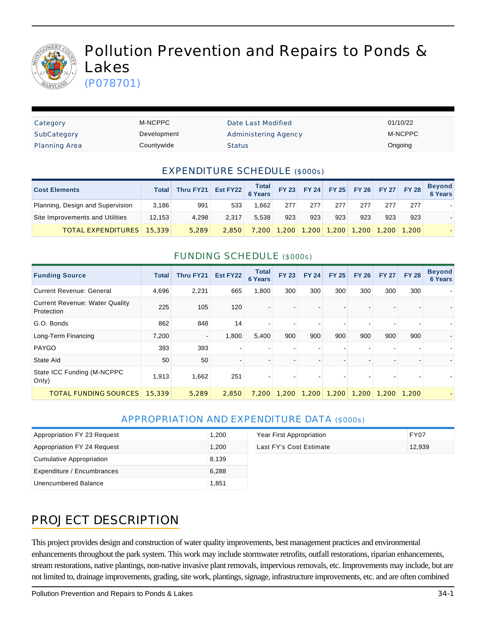

# Pollution Prevention and Repairs to Ponds & Lakes

(P078701)

| Category             | M-NCPPC     | Date Last Modified          | 01/10/22 |
|----------------------|-------------|-----------------------------|----------|
| SubCategory          | Development | <b>Administering Agency</b> | M-NCPPC  |
| <b>Planning Area</b> | Countywide  | <b>Status</b>               | Ongoing  |

#### EXPENDITURE SCHEDULE (\$000s)

| <b>Cost Elements</b>             | Total  | Thru FY21 | Est FY22 $\begin{array}{ c c c }\n\hline\n\text{Total} & \text{FY 23}\n\end{array}$ |       |      |       |       | FY 24 FY 25 FY 26 FY 27 FY 28 |                   |     | <b>Beyond</b><br><b>6 Years</b> |
|----------------------------------|--------|-----------|-------------------------------------------------------------------------------------|-------|------|-------|-------|-------------------------------|-------------------|-----|---------------------------------|
| Planning, Design and Supervision | 3.186  | 991       | 533                                                                                 | 1.662 | 277  | 277   | 277   | 277                           | 277               | 277 |                                 |
| Site Improvements and Utilities  | 12,153 | 4.298     | 2.317                                                                               | 5.538 | 923  | 923   | 923   | 923                           | 923               | 923 |                                 |
| <b>TOTAL EXPENDITURES</b>        | 15,339 | 5,289     | 2.850                                                                               | 7,200 | .200 | 1,200 | 1,200 |                               | 1.200 1.200 1.200 |     |                                 |

#### FUNDING SCHEDULE (\$000s)

| <b>Funding Source</b>                               | Total  | Thru FY21 | Est FY22 | <b>Total</b><br><b>6 Years</b> | <b>FY 23</b>             | <b>FY 24</b> | <b>FY 25</b> | <b>FY 26</b> | <b>FY 27</b> | <b>FY 28</b> | <b>Beyond</b><br><b>6 Years</b> |
|-----------------------------------------------------|--------|-----------|----------|--------------------------------|--------------------------|--------------|--------------|--------------|--------------|--------------|---------------------------------|
| <b>Current Revenue: General</b>                     | 4,696  | 2,231     | 665      | 1,800                          | 300                      | 300          | 300          | 300          | 300          | 300          |                                 |
| <b>Current Revenue: Water Quality</b><br>Protection | 225    | 105       | 120      |                                |                          |              |              |              |              |              |                                 |
| G.O. Bonds                                          | 862    | 848       | 14       |                                | $\blacksquare$           |              |              |              |              |              |                                 |
| Long-Term Financing                                 | 7,200  |           | 1,800    | 5,400                          | 900                      | 900          | 900          | 900          | 900          | 900          |                                 |
| <b>PAYGO</b>                                        | 393    | 393       |          |                                | $\overline{\phantom{a}}$ |              |              |              |              |              |                                 |
| State Aid                                           | 50     | 50        |          |                                | $\blacksquare$           |              |              |              |              |              |                                 |
| State ICC Funding (M-NCPPC<br>Only)                 | 1,913  | 1,662     | 251      |                                | $\overline{\phantom{a}}$ |              |              |              |              |              |                                 |
| <b>TOTAL FUNDING SOURCES</b>                        | 15,339 | 5.289     | 2.850    | 7,200                          | 1.200                    | 1,200        | 1,200        | 1.200        | 1,200        | 1,200        |                                 |

#### APPROPRIATION AND EXPENDITURE DATA (\$000s)

| Appropriation FY 23 Request     | 1,200 | Year First Appropriation | <b>FY07</b> |
|---------------------------------|-------|--------------------------|-------------|
| Appropriation FY 24 Request     | 1,200 | Last FY's Cost Estimate  | 12,939      |
| <b>Cumulative Appropriation</b> | 8,139 |                          |             |
| Expenditure / Encumbrances      | 6,288 |                          |             |
| Unencumbered Balance            | 1,851 |                          |             |

| Year First Appropriation | FY07   |
|--------------------------|--------|
| Last FY's Cost Estimate  | 12.939 |
|                          |        |
|                          |        |

# PROJECT DESCRIPTION

This project provides design and construction of water quality improvements, best management practices and environmental enhancements throughout the park system. This work may include stormwater retrofits, outfall restorations, riparian enhancements, stream restorations, native plantings, non-native invasive plant removals, impervious removals, etc. Improvements may include, but are not limited to, drainage improvements, grading, site work, plantings, signage, infrastructure improvements, etc. and are often combined